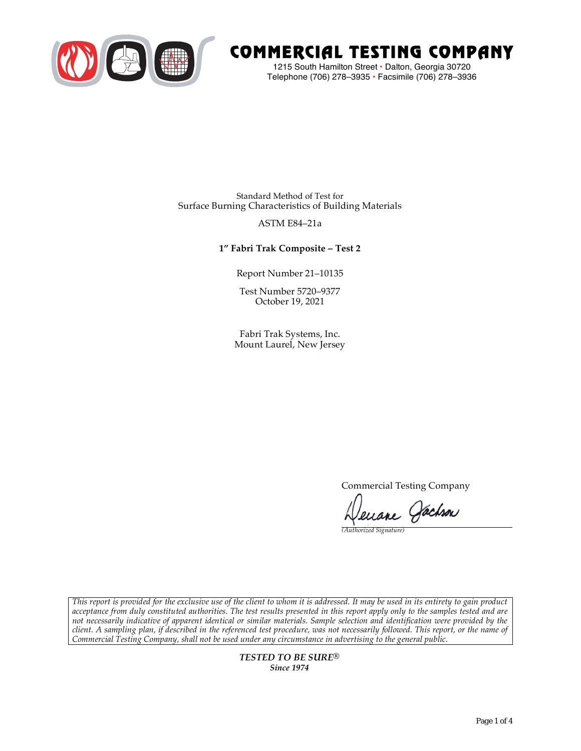

# COMMERCIAL TESTING COMPANY

1215 South Hamilton Street • Dalton, Georgia 30720 Telephone (706) 278–3935 **•** Facsimile (706) 278–3936

Standard Method of Test for Surface Burning Characteristics of Building Materials

### ASTM E84–21a

## **1" Fabri Trak Composite – Test 2**

Report Number 21–10135

Test Number 5720–9377 October 19, 2021

Fabri Trak Systems, Inc. Mount Laurel, New Jersey

Commercial Testing Company

enane Jachson

*(Authorized Signature)* 

*This report is provided for the exclusive use of the client to whom it is addressed. It may be used in its entirety to gain product acceptance from duly constituted authorities. The test results presented in this report apply only to the samples tested and are not necessarily indicative of apparent identical or similar materials. Sample selection and identification were provided by the client. A sampling plan, if described in the referenced test procedure, was not necessarily followed. This report, or the name of Commercial Testing Company, shall not be used under any circumstance in advertising to the general public.* 

> *TESTED TO BE SURE® Since 1974*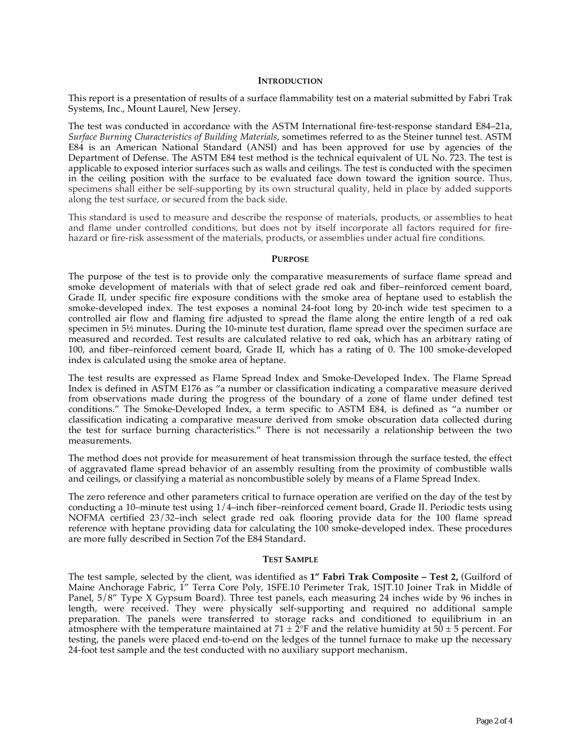#### **INTRODUCTION**

This report is a presentation of results of a surface flammability test on a material submitted by Fabri Trak Systems, Inc., Mount Laurel, New Jersey.

The test was conducted in accordance with the ASTM International fire-test-response standard E84–21a, *Surface Burning Characteristics of Building Materials*, sometimes referred to as the Steiner tunnel test. ASTM E84 is an American National Standard (ANSI) and has been approved for use by agencies of the Department of Defense. The ASTM E84 test method is the technical equivalent of UL No. 723. The test is applicable to exposed interior surfaces such as walls and ceilings. The test is conducted with the specimen in the ceiling position with the surface to be evaluated face down toward the ignition source. Thus, specimens shall either be self-supporting by its own structural quality, held in place by added supports along the test surface, or secured from the back side.

This standard is used to measure and describe the response of materials, products, or assemblies to heat and flame under controlled conditions, but does not by itself incorporate all factors required for firehazard or fire-risk assessment of the materials, products, or assemblies under actual fire conditions.

#### **PURPOSE**

The purpose of the test is to provide only the comparative measurements of surface flame spread and smoke development of materials with that of select grade red oak and fiber–reinforced cement board, Grade II, under specific fire exposure conditions with the smoke area of heptane used to establish the smoke-developed index. The test exposes a nominal 24-foot long by 20-inch wide test specimen to a controlled air flow and flaming fire adjusted to spread the flame along the entire length of a red oak specimen in  $5\frac{1}{2}$  minutes. During the 10-minute test duration, flame spread over the specimen surface are measured and recorded. Test results are calculated relative to red oak, which has an arbitrary rating of 100, and fiber–reinforced cement board, Grade II, which has a rating of 0. The 100 smoke-developed index is calculated using the smoke area of heptane.

The test results are expressed as Flame Spread Index and Smoke-Developed Index. The Flame Spread Index is defined in ASTM E176 as "a number or classification indicating a comparative measure derived from observations made during the progress of the boundary of a zone of flame under defined test conditions." The Smoke-Developed Index, a term specific to ASTM E84, is defined as "a number or classification indicating a comparative measure derived from smoke obscuration data collected during the test for surface burning characteristics." There is not necessarily a relationship between the two measurements.

The method does not provide for measurement of heat transmission through the surface tested, the effect of aggravated flame spread behavior of an assembly resulting from the proximity of combustible walls and ceilings, or classifying a material as noncombustible solely by means of a Flame Spread Index.

The zero reference and other parameters critical to furnace operation are verified on the day of the test by conducting a 10–minute test using 1/4–inch fiber–reinforced cement board, Grade II. Periodic tests using NOFMA certified 23/32–inch select grade red oak flooring provide data for the 100 flame spread reference with heptane providing data for calculating the 100 smoke-developed index. These procedures are more fully described in Section 7of the E84 Standard.

#### **TEST SAMPLE**

The test sample, selected by the client, was identified as **1" Fabri Trak Composite – Test 2,** (Guilford of Maine Anchorage Fabric, 1" Terra Core Poly, 1SFE.10 Perimeter Trak, 1SJT.10 Joiner Trak in Middle of Panel, 5/8" Type X Gypsum Board). Three test panels, each measuring 24 inches wide by 96 inches in length, were received. They were physically self-supporting and required no additional sample preparation. The panels were transferred to storage racks and conditioned to equilibrium in an atmosphere with the temperature maintained at  $71 \pm \tilde{2}^{\circ}F$  and the relative humidity at  $50 \pm 5$  percent. For testing, the panels were placed end-to-end on the ledges of the tunnel furnace to make up the necessary 24-foot test sample and the test conducted with no auxiliary support mechanism.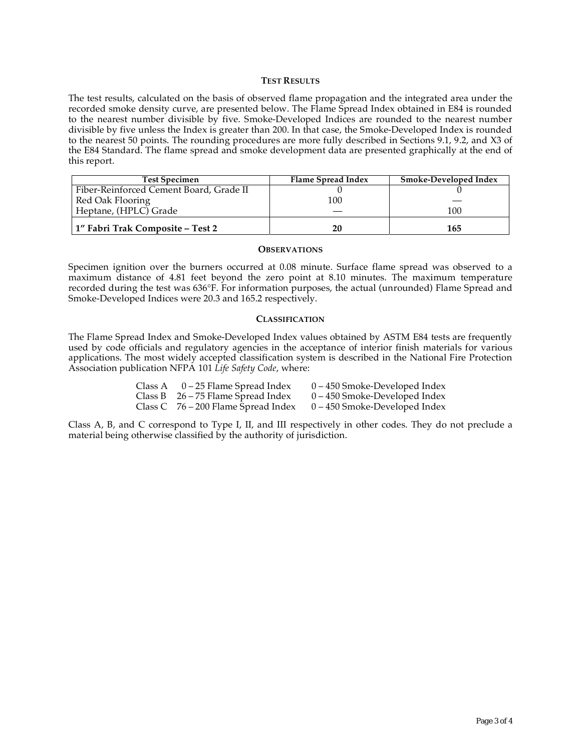#### **TEST RESULTS**

The test results, calculated on the basis of observed flame propagation and the integrated area under the recorded smoke density curve, are presented below. The Flame Spread Index obtained in E84 is rounded to the nearest number divisible by five. Smoke-Developed Indices are rounded to the nearest number divisible by five unless the Index is greater than 200. In that case, the Smoke-Developed Index is rounded to the nearest 50 points. The rounding procedures are more fully described in Sections 9.1, 9.2, and X3 of the E84 Standard. The flame spread and smoke development data are presented graphically at the end of this report.

| <b>Test Specimen</b>                    | Flame Spread Index | Smoke-Developed Index |
|-----------------------------------------|--------------------|-----------------------|
| Fiber-Reinforced Cement Board, Grade II |                    |                       |
| Red Oak Flooring                        | 100                |                       |
| Heptane, (HPLC) Grade                   |                    | 100                   |
| 1" Fabri Trak Composite – Test 2        | 20                 | 165                   |

#### **OBSERVATIONS**

Specimen ignition over the burners occurred at 0.08 minute. Surface flame spread was observed to a maximum distance of 4.81 feet beyond the zero point at 8.10 minutes. The maximum temperature recorded during the test was 636°F. For information purposes, the actual (unrounded) Flame Spread and Smoke-Developed Indices were 20.3 and 165.2 respectively.

#### **CLASSIFICATION**

The Flame Spread Index and Smoke-Developed Index values obtained by ASTM E84 tests are frequently used by code officials and regulatory agencies in the acceptance of interior finish materials for various applications. The most widely accepted classification system is described in the National Fire Protection Association publication NFPA 101 *Life Safety Code*, where:

| Class A $0-25$ Flame Spread Index     | 0 – 450 Smoke-Developed Index   |
|---------------------------------------|---------------------------------|
| Class B $26 - 75$ Flame Spread Index  | $0 - 450$ Smoke-Developed Index |
| Class C $76 - 200$ Flame Spread Index | $0 - 450$ Smoke-Developed Index |

Class A, B, and C correspond to Type I, II, and III respectively in other codes. They do not preclude a material being otherwise classified by the authority of jurisdiction.